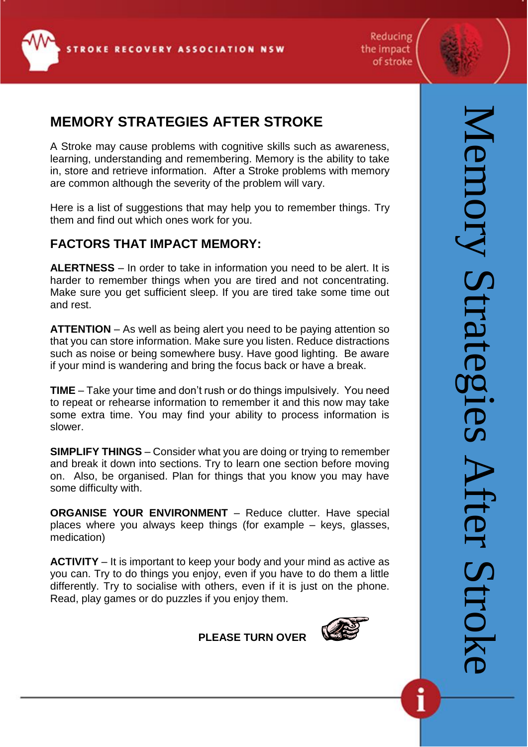

Reducing the impact of stroke

# **MEMORY STRATEGIES AFTER STROKE**

A Stroke may cause problems with cognitive skills such as awareness, learning, understanding and remembering. Memory is the ability to take in, store and retrieve information. After a Stroke problems with memory are common although the severity of the problem will vary.

Here is a list of suggestions that may help you to remember things. Try them and find out which ones work for you.

# **FACTORS THAT IMPACT MEMORY:**

**ALERTNESS** – In order to take in information you need to be alert. It is harder to remember things when you are tired and not concentrating. Make sure you get sufficient sleep. If you are tired take some time out and rest.

**ATTENTION** – As well as being alert you need to be paying attention so that you can store information. Make sure you listen. Reduce distractions such as noise or being somewhere busy. Have good lighting. Be aware if your mind is wandering and bring the focus back or have a break.

**TIME** – Take your time and don't rush or do things impulsively. You need to repeat or rehearse information to remember it and this now may take some extra time. You may find your ability to process information is slower.

**SIMPLIFY THINGS** – Consider what you are doing or trying to remember and break it down into sections. Try to learn one section before moving on. Also, be organised. Plan for things that you know you may have some difficulty with.

**ORGANISE YOUR ENVIRONMENT** – Reduce clutter. Have special places where you always keep things (for example – keys, glasses, medication)

**ACTIVITY** – It is important to keep your body and your mind as active as you can. Try to do things you enjoy, even if you have to do them a little differently. Try to socialise with others, even if it is just on the phone. Read, play games or do puzzles if you enjoy them.

**PLEASE TURN OVER**